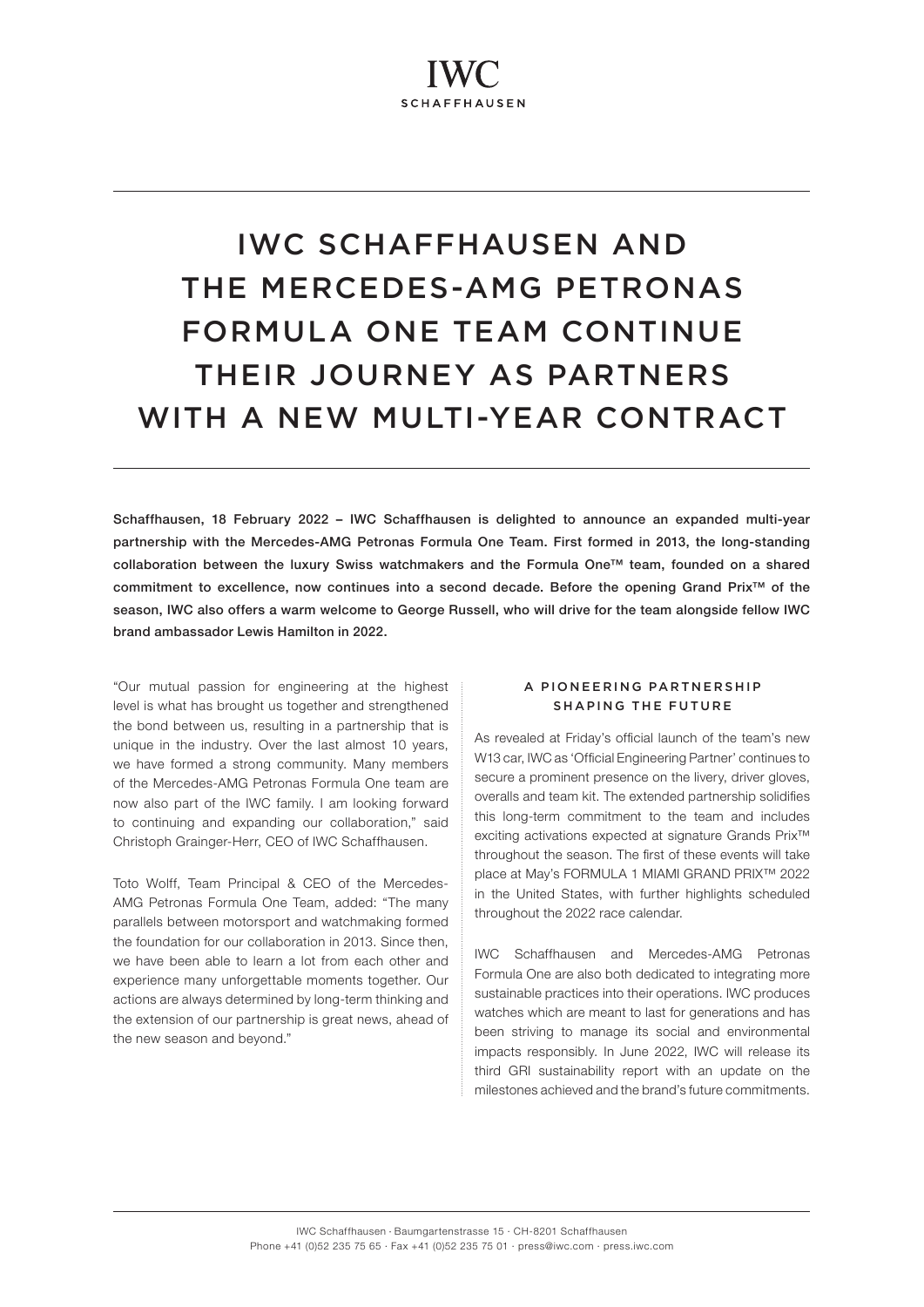# IWC SCHAFFHAUSEN AND THE MERCEDES-AMG PETRONAS FORMULA ONE TEAM CONTINUE THEIR JOURNEY AS PARTNERS WITH A NEW MULTI-YEAR CONTRACT

Schaffhausen, 18 February 2022 – IWC Schaffhausen is delighted to announce an expanded multi-year partnership with the Mercedes-AMG Petronas Formula One Team. First formed in 2013, the long-standing collaboration between the luxury Swiss watchmakers and the Formula One™ team, founded on a shared commitment to excellence, now continues into a second decade. Before the opening Grand Prix™ of the season, IWC also offers a warm welcome to George Russell, who will drive for the team alongside fellow IWC brand ambassador Lewis Hamilton in 2022.

"Our mutual passion for engineering at the highest level is what has brought us together and strengthened the bond between us, resulting in a partnership that is unique in the industry. Over the last almost 10 years, we have formed a strong community. Many members of the Mercedes-AMG Petronas Formula One team are now also part of the IWC family. I am looking forward to continuing and expanding our collaboration," said Christoph Grainger-Herr, CEO of IWC Schaffhausen.

Toto Wolff, Team Principal & CEO of the Mercedes-AMG Petronas Formula One Team, added: "The many parallels between motorsport and watchmaking formed the foundation for our collaboration in 2013. Since then, we have been able to learn a lot from each other and experience many unforgettable moments together. Our actions are always determined by long-term thinking and the extension of our partnership is great news, ahead of the new season and beyond."

## A PIONEERING PARTNERSHIP SHAPING THE FUTURE

As revealed at Friday's official launch of the team's new W13 car, IWC as 'Official Engineering Partner' continues to secure a prominent presence on the livery, driver gloves, overalls and team kit. The extended partnership solidifies this long-term commitment to the team and includes exciting activations expected at signature Grands Prix™ throughout the season. The first of these events will take place at May's FORMULA 1 MIAMI GRAND PRIX™ 2022 in the United States, with further highlights scheduled throughout the 2022 race calendar.

IWC Schaffhausen and Mercedes-AMG Petronas Formula One are also both dedicated to integrating more sustainable practices into their operations. IWC produces watches which are meant to last for generations and has been striving to manage its social and environmental impacts responsibly. In June 2022, IWC will release its third GRI sustainability report with an update on the milestones achieved and the brand's future commitments.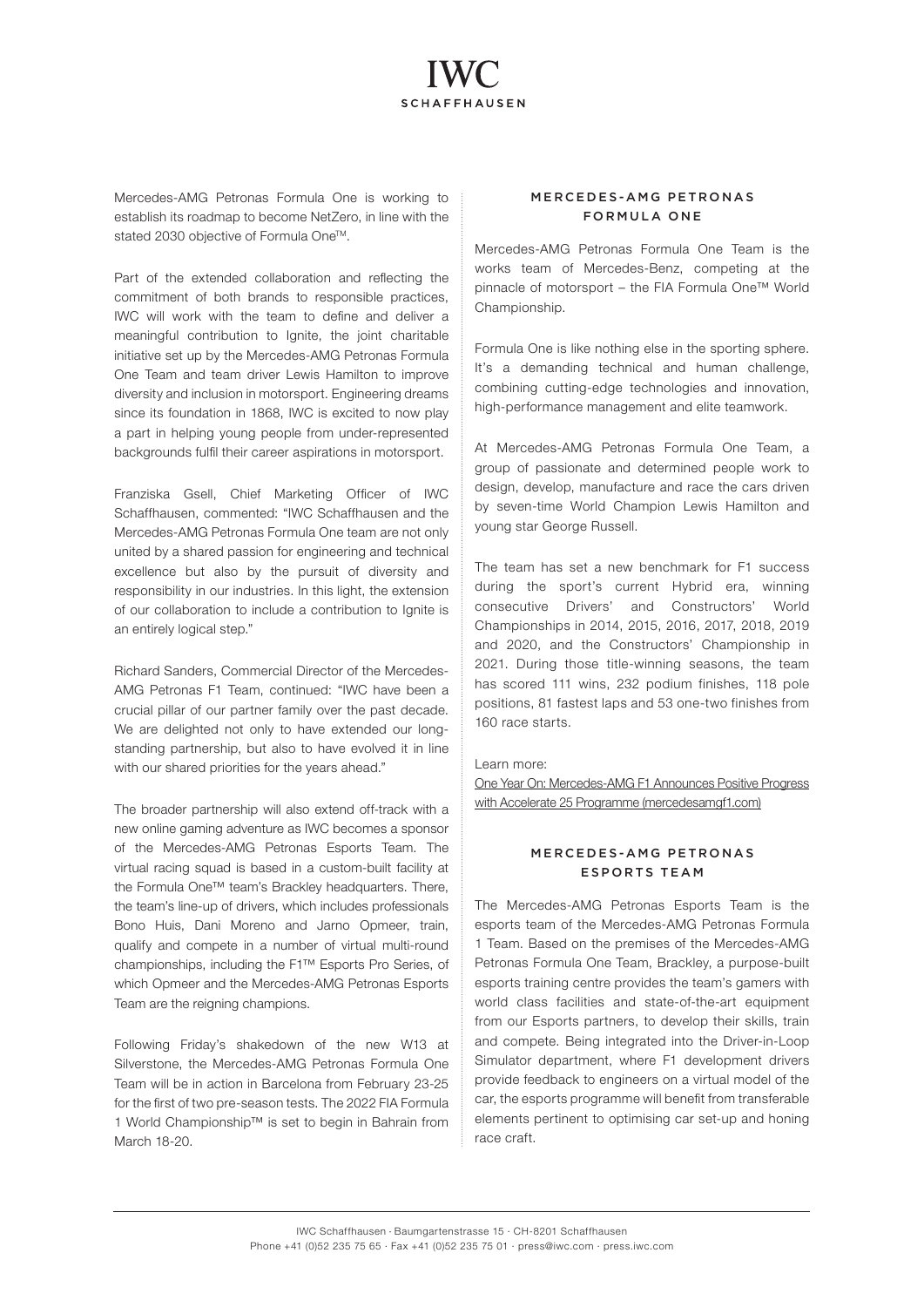# **SCHAFFHAUSEN**

Mercedes-AMG Petronas Formula One is working to establish its roadmap to become NetZero, in line with the stated 2030 objective of Formula One™.

Part of the extended collaboration and reflecting the commitment of both brands to responsible practices, IWC will work with the team to define and deliver a meaningful contribution to lanite, the joint charitable initiative set up by the Mercedes-AMG Petronas Formula One Team and team driver Lewis Hamilton to improve diversity and inclusion in motorsport. Engineering dreams since its foundation in 1868, IWC is excited to now play a part in helping young people from under-represented backgrounds fulfil their career aspirations in motorsport.

Franziska Gsell, Chief Marketing Officer of IWC Schaffhausen, commented: "IWC Schaffhausen and the Mercedes-AMG Petronas Formula One team are not only united by a shared passion for engineering and technical excellence but also by the pursuit of diversity and responsibility in our industries. In this light, the extension of our collaboration to include a contribution to lanite is an entirely logical step."

Richard Sanders, Commercial Director of the Mercedes-AMG Petronas F1 Team, continued: "IWC have been a crucial pillar of our partner family over the past decade. We are delighted not only to have extended our longstanding partnership, but also to have evolved it in line with our shared priorities for the years ahead."

The broader partnership will also extend off-track with a new online gaming adventure as IWC becomes a sponsor of the Mercedes-AMG Petronas Esports Team. The virtual racing squad is based in a custom-built facility at the Formula One™ team's Brackley headquarters. There, the team's line-up of drivers, which includes professionals Bono Huis, Dani Moreno and Jarno Opmeer, train, qualify and compete in a number of virtual multi-round championships, including the F1™ Esports Pro Series, of which Opmeer and the Mercedes-AMG Petronas Esports Team are the reigning champions.

Following Friday's shakedown of the new W13 at Silverstone, the Mercedes-AMG Petronas Formula One Team will be in action in Barcelona from February 23-25 for the first of two pre-season tests. The 2022 FIA Formula 1 World Championship™ is set to begin in Bahrain from March 18-20.

### MERCEDES-AMG PETRONAS FORMULA ONE

Mercedes-AMG Petronas Formula One Team is the works team of Mercedes-Benz, competing at the pinnacle of motorsport – the FIA Formula One™ World Championship.

Formula One is like nothing else in the sporting sphere. It's a demanding technical and human challenge, combining cutting-edge technologies and innovation, high-performance management and elite teamwork.

At Mercedes-AMG Petronas Formula One Team, a group of passionate and determined people work to design, develop, manufacture and race the cars driven by seven-time World Champion Lewis Hamilton and young star George Russell.

The team has set a new benchmark for F1 success during the sport's current Hybrid era, winning consecutive Drivers' and Constructors' World Championships in 2014, 2015, 2016, 2017, 2018, 2019 and 2020, and the Constructors' Championship in 2021. During those title-winning seasons, the team has scored 111 wins, 232 podium finishes, 118 pole positions, 81 fastest laps and 53 one-two finishes from 160 race starts.

#### Learn more:

[One Year On: Mercedes-AMG F1 Announces Positive Progress](https://www.mercedesamgf1.com/en/news/2022/02/mercedes-amg-f1-announces-positive-progress-accelerate-25-programme/)  [with Accelerate 25 Programme \(mercedesamgf1.com\)](https://www.mercedesamgf1.com/en/news/2022/02/mercedes-amg-f1-announces-positive-progress-accelerate-25-programme/)

#### MERCEDES-AMG PETRONAS E SPORTS TEAM

The Mercedes-AMG Petronas Esports Team is the esports team of the Mercedes-AMG Petronas Formula 1 Team. Based on the premises of the Mercedes-AMG Petronas Formula One Team, Brackley, a purpose-built esports training centre provides the team's gamers with world class facilities and state-of-the-art equipment from our Esports partners, to develop their skills, train and compete. Being integrated into the Driver-in-Loop Simulator department, where F1 development drivers provide feedback to engineers on a virtual model of the car, the esports programme will benefit from transferable elements pertinent to optimising car set-up and honing race craft.